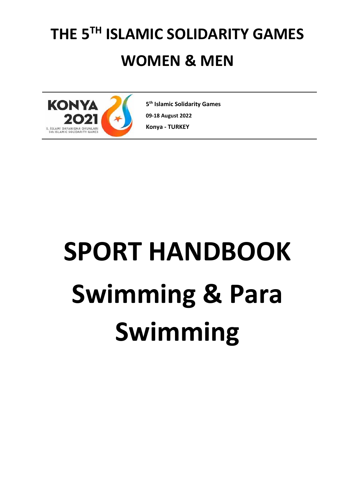# **THE 5TH ISLAMIC SOLIDARITY GAMES WOMEN & MEN**



**5 th Islamic Solidarity Games 09-18 August 2022 Konya** *-* **TURKEY**

# **SPORT HANDBOOK Swimming & Para Swimming**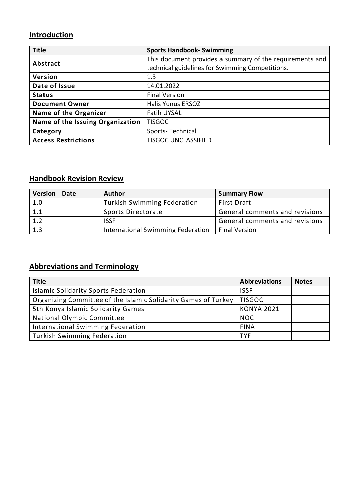# **Introduction**

| <b>Title</b>                     | <b>Sports Handbook- Swimming</b>                         |
|----------------------------------|----------------------------------------------------------|
| Abstract                         | This document provides a summary of the requirements and |
|                                  | technical guidelines for Swimming Competitions.          |
| Version                          | 1.3                                                      |
| Date of Issue                    | 14.01.2022                                               |
| <b>Status</b>                    | <b>Final Version</b>                                     |
| <b>Document Owner</b>            | <b>Halis Yunus ERSOZ</b>                                 |
| <b>Name of the Organizer</b>     | <b>Fatih UYSAL</b>                                       |
| Name of the Issuing Organization | <b>TISGOC</b>                                            |
| Category                         | Sports-Technical                                         |
| <b>Access Restrictions</b>       | <b>TISGOC UNCLASSIFIED</b>                               |

# **Handbook Revision Review**

| <b>Version</b> | Date | <b>Author</b>                      | <b>Summary Flow</b>            |
|----------------|------|------------------------------------|--------------------------------|
| 1.0            |      | <b>Turkish Swimming Federation</b> | <b>First Draft</b>             |
| 1.1            |      | Sports Directorate                 | General comments and revisions |
| 1.2            |      | <b>ISSF</b>                        | General comments and revisions |
| 1.3            |      | International Swimming Federation  | <b>Final Version</b>           |

# **Abbreviations and Terminology**

| <b>Title</b>                                                   | <b>Abbreviations</b> | <b>Notes</b> |
|----------------------------------------------------------------|----------------------|--------------|
| <b>Islamic Solidarity Sports Federation</b>                    | <b>ISSF</b>          |              |
| Organizing Committee of the Islamic Solidarity Games of Turkey | <b>TISGOC</b>        |              |
| 5th Konya Islamic Solidarity Games                             | <b>KONYA 2021</b>    |              |
| National Olympic Committee                                     | <b>NOC</b>           |              |
| International Swimming Federation                              | <b>FINA</b>          |              |
| <b>Turkish Swimming Federation</b>                             | <b>TYF</b>           |              |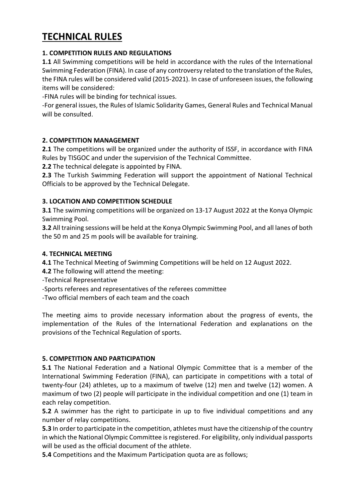# **TECHNICAL RULES**

# **1. COMPETITION RULES AND REGULATIONS**

**1.1** All Swimming competitions will be held in accordance with the rules of the International Swimming Federation (FINA). In case of any controversy related to the translation of the Rules, the FINA rules will be considered valid (2015-2021). In case of unforeseen issues, the following items will be considered:

-FINA rules will be binding for technical issues.

-For general issues, the Rules of Islamic Solidarity Games, General Rules and Technical Manual will be consulted.

# **2. COMPETITION MANAGEMENT**

**2.1** The competitions will be organized under the authority of ISSF, in accordance with FINA Rules by TISGOC and under the supervision of the Technical Committee.

**2.2** The technical delegate is appointed by FINA.

**2.3** The Turkish Swimming Federation will support the appointment of National Technical Officials to be approved by the Technical Delegate.

# **3. LOCATION AND COMPETITION SCHEDULE**

**3.1** The swimming competitions will be organized on 13-17 August 2022 at the Konya Olympic Swimming Pool.

**3.2** All training sessions will be held at the Konya Olympic Swimming Pool, and all lanes of both the 50 m and 25 m pools will be available for training.

# **4. TECHNICAL MEETING**

**4.1** The Technical Meeting of Swimming Competitions will be held on 12 August 2022.

**4.2** The following will attend the meeting:

-Technical Representative

-Sports referees and representatives of the referees committee

-Two official members of each team and the coach

The meeting aims to provide necessary information about the progress of events, the implementation of the Rules of the International Federation and explanations on the provisions of the Technical Regulation of sports.

# **5. COMPETITION AND PARTICIPATION**

**5.1** The National Federation and a National Olympic Committee that is a member of the International Swimming Federation (FINA), can participate in competitions with a total of twenty-four (24) athletes, up to a maximum of twelve (12) men and twelve (12) women. A maximum of two (2) people will participate in the individual competition and one (1) team in each relay competition.

**5.2** A swimmer has the right to participate in up to five individual competitions and any number of relay competitions.

**5.3** In order to participate in the competition, athletes must have the citizenship of the country in which the National Olympic Committee is registered. For eligibility, only individual passports will be used as the official document of the athlete.

**5.4** Competitions and the Maximum Participation quota are as follows;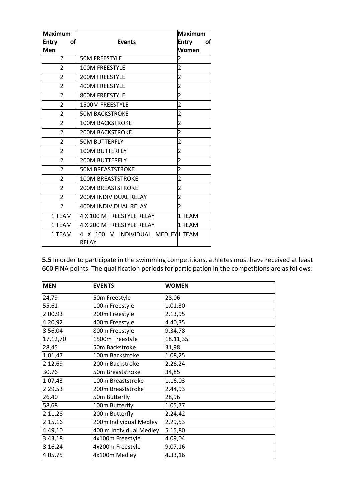| <b>Maximum</b>     |                                                    | <b>Maximum</b>     |
|--------------------|----------------------------------------------------|--------------------|
| <b>Entry</b><br>оf | <b>Events</b>                                      | <b>Entry</b><br>оf |
| Men                |                                                    | Women              |
| $\overline{2}$     | <b>50M FREESTYLE</b>                               | 2                  |
| $\overline{2}$     | <b>100M FREESTYLE</b>                              | $\overline{2}$     |
| $\overline{2}$     | <b>200M FREESTYLE</b>                              | $\overline{2}$     |
| $\overline{2}$     | 400M FREESTYLE                                     | $\overline{2}$     |
| $\overline{2}$     | 800M FREESTYLE                                     | 2                  |
| $\overline{2}$     | <b>1500M FREESTYLE</b>                             | $\overline{2}$     |
| $\overline{2}$     | <b>50M BACKSTROKE</b>                              | $\overline{2}$     |
| $\overline{2}$     | <b>100M BACKSTROKE</b>                             | $\overline{2}$     |
| $\overline{2}$     | <b>200M BACKSTROKE</b>                             | $\overline{2}$     |
| $\overline{2}$     | <b>50M BUTTERFLY</b>                               | $\overline{2}$     |
| $\overline{2}$     | <b>100M BUTTERFLY</b>                              | $\overline{2}$     |
| $\overline{2}$     | 200M BUTTERFLY                                     | 2                  |
| $\overline{2}$     | <b>50M BREASTSTROKE</b>                            | $\overline{2}$     |
| 2                  | <b>100M BREASTSTROKE</b>                           | $\overline{2}$     |
| $\overline{2}$     | <b>200M BREASTSTROKE</b>                           | 2                  |
| $\overline{2}$     | <b>200M INDIVIDUAL RELAY</b>                       | $\overline{2}$     |
| $\overline{2}$     | 400M INDIVIDUAL RELAY                              | $\overline{2}$     |
| 1 TEAM             | 4 X 100 M FREESTYLE RELAY                          | 1 TEAM             |
| 1 TEAM             | 4 X 200 M FREESTYLE RELAY                          | 1 TEAM             |
| 1 TEAM             | 4 X 100 M INDIVIDUAL MEDLEY 1 TEAM<br><b>RELAY</b> |                    |

**5.5** In order to participate in the swimming competitions, athletes must have received at least 600 FINA points. The qualification periods for participation in the competitions are as follows:

| <b>MEN</b> | <b>EVENTS</b>           | <b>WOMEN</b> |
|------------|-------------------------|--------------|
| 24,79      | 50m Freestyle           | 28,06        |
| 55.61      | 100m Freestyle          | 1.01,30      |
| 2.00,93    | 200m Freestyle          | 2.13,95      |
| 4.20,92    | 400m Freestyle          | 4.40,35      |
| 8.56,04    | 800m Freestyle          | 9.34,78      |
| 17.12,70   | 1500m Freestyle         | 18.11,35     |
| 28,45      | 50m Backstroke          | 31,98        |
| 1.01,47    | 100m Backstroke         | 1.08,25      |
| 2.12,69    | 200m Backstroke         | 2.26,24      |
| 30,76      | 50m Breaststroke        | 34,85        |
| 1.07,43    | 100m Breaststroke       | 1.16,03      |
| 2.29,53    | 200m Breaststroke       | 2.44,93      |
| 26,40      | 50m Butterfly           | 28,96        |
| 58,68      | 100m Butterfly          | 1.05,77      |
| 2.11,28    | 200m Butterfly          | 2.24,42      |
| 2.15,16    | 200m Individual Medley  | 2.29,53      |
| 4.49,10    | 400 m Individual Medley | 5.15,80      |
| 3.43,18    | 4x100m Freestyle        | 4.09,04      |
| 8.16,24    | 4x200m Freestyle        | 9.07,16      |
| 4.05,75    | 4x100m Medley           | 4.33,16      |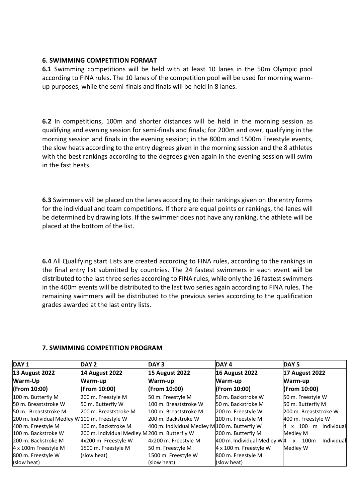#### **6. SWIMMING COMPETITION FORMAT**

**6.1** Swimming competitions will be held with at least 10 lanes in the 50m Olympic pool according to FINA rules. The 10 lanes of the competition pool will be used for morning warmup purposes, while the semi-finals and finals will be held in 8 lanes.

**6.2** In competitions, 100m and shorter distances will be held in the morning session as qualifying and evening session for semi-finals and finals; for 200m and over, qualifying in the morning session and finals in the evening session; in the 800m and 1500m Freestyle events, the slow heats according to the entry degrees given in the morning session and the 8 athletes with the best rankings according to the degrees given again in the evening session will swim in the fast heats.

**6.3** Swimmers will be placed on the lanes according to their rankings given on the entry forms for the individual and team competitions. If there are equal points or rankings, the lanes will be determined by drawing lots. If the swimmer does not have any ranking, the athlete will be placed at the bottom of the list.

**6.4** All Qualifying start Lists are created according to FINA rules, according to the rankings in the final entry list submitted by countries. The 24 fastest swimmers in each event will be distributed to the last three series according to FINA rules, while only the 16 fastest swimmers in the 400m events will be distributed to the last two series again according to FINA rules. The remaining swimmers will be distributed to the previous series according to the qualification grades awarded at the last entry lists.

#### **7. SWIMMING COMPETITION PROGRAM**

| DAY <sub>1</sub>                              | DAY 2                                        | DAY <sub>3</sub>                              | DAY <sub>4</sub>              | DAY <sub>5</sub>                    |
|-----------------------------------------------|----------------------------------------------|-----------------------------------------------|-------------------------------|-------------------------------------|
| <b>13 August 2022</b>                         | <b>14 August 2022</b>                        | <b>15 August 2022</b>                         | <b>16 August 2022</b>         | <b>17 August 2022</b>               |
| Warm-Up                                       | Warm-up                                      | Warm-up                                       | Warm-up                       | Warm-up                             |
| (From 10:00)                                  | (From 10:00)                                 | (From 10:00)                                  | (From 10:00)                  | (From 10:00)                        |
| 100 m. Butterfly M                            | 200 m. Freestyle M                           | 50 m. Freestyle M                             | 50 m. Backstroke W            | 50 m. Freestyle W                   |
| 50 m. Breaststroke W                          | 50 m. Butterfly W                            | l100 m. Breaststroke W                        | 50 m. Backstroke M            | 50 m. Butterfly M                   |
| 50 m. Breaststroke M                          | l200 m. Breaststroke M                       | 100 m. Breaststroke M                         | 200 m. Freestyle W            | 200 m. Breaststroke W               |
| 200 m. Individual Medley W 100 m. Freestyle W |                                              | 200 m. Backstroke W                           | 100 m. Freestyle M            | 400 m. Freestyle W                  |
| 400 m. Freestyle M                            | l100 m. Backstroke M                         | 400 m. Individual Medley M 100 m. Butterfly W |                               | x 100 m<br>Individual               |
| 100 m. Backstroke W                           | 200 m. Individual Medley M200 m. Butterfly W |                                               | 200 m. Butterfly M            | Medley M                            |
| 200 m. Backstroke M                           | 4x200 m. Freestyle W                         | 4x200 m. Freestyle M                          | 400 m. Individual Medley W4   | Individual<br>100 <sub>m</sub><br>x |
| 4 x 100m Freestyle M                          | 1500 m. Freestyle M                          | 50 m. Freestyle M                             | $4 \times 100$ m. Freestyle W | Medley W                            |
| 800 m. Freestyle W                            | (slow heat)                                  | 1500 m. Freestyle W                           | 800 m. Freestyle M            |                                     |
| (slow heat)                                   |                                              | (slow heat)                                   | (slow heat)                   |                                     |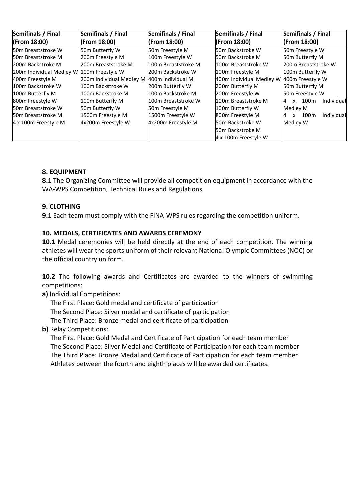| Semifinals / Final             | Semifinals / Final       | Semifinals / Final  | Semifinals / Final           | Semifinals / Final                                  |
|--------------------------------|--------------------------|---------------------|------------------------------|-----------------------------------------------------|
| (From 18:00)                   | (From 18:00)             | (From 18:00)        | (From 18:00)                 | (From 18:00)                                        |
| 50m Breaststroke W             | 50m Butterfly W          | 50m Freestyle M     | 50m Backstroke W             | 50m Freestyle W                                     |
| 50m Breaststroke M             | 200m Freestyle M         | 100m Freestyle W    | 50m Backstroke M             | 50m Butterfly M                                     |
| 200m Backstroke M              | 200m Breaststroke M      | 100m Breaststroke M | 100m Breaststroke W          | 200m Breaststroke W                                 |
| 200m Individual Medley W       | 100m Freestyle W         | 200m Backstroke W   | 100m Freestyle M             | 100m Butterfly W                                    |
| 400m Freestyle M               | 200m Individual Medley M | 400m Individual M   | 400m Individual Medley W     | 400m Freestyle W                                    |
| 100m Backstroke W              | 100m Backstroke W        | 200m Butterfly W    | 200m Butterfly M             | 50m Butterfly M                                     |
| 100m Butterfly M               | 100m Backstroke M        | 100m Backstroke M   | 200m Freestyle W             | 50 <sub>m</sub> Freestyle W                         |
| 800m Freestyle W               | 100m Butterfly M         | 100m Breaststroke W | 100m Breaststroke M          | 100 <sub>m</sub><br>Individual<br>4<br>$\mathsf{x}$ |
| 50 <sub>m</sub> Breaststroke W | 50m Butterfly W          | 50m Freestyle M     | 100m Butterfly W             | Medley M                                            |
| 50 <sub>m</sub> Breaststroke M | 1500m Freestyle M        | 1500m Freestyle W   | 800m Freestyle M             | Individual<br>100 <sub>m</sub><br>$\mathsf{x}$<br>4 |
| 4 x 100m Freestyle M           | 4x200m Freestyle W       | 4x200m Freestyle M  | 50 <sub>m</sub> Backstroke W | Medley W                                            |
|                                |                          |                     | 50m Backstroke M             |                                                     |
|                                |                          |                     | 4 x 100m Freestyle W         |                                                     |

# **8. EQUIPMENT**

**8.1** The Organizing Committee will provide all competition equipment in accordance with the WA-WPS Competition, Technical Rules and Regulations.

#### **9. CLOTHING**

**9.1** Each team must comply with the FINA-WPS rules regarding the competition uniform.

#### **10. MEDALS, CERTIFICATES AND AWARDS CEREMONY**

**10.1** Medal ceremonies will be held directly at the end of each competition. The winning athletes will wear the sports uniform of their relevant National Olympic Committees (NOC) or the official country uniform.

**10.2** The following awards and Certificates are awarded to the winners of swimming competitions:

**a)** Individual Competitions:

The First Place: Gold medal and certificate of participation

The Second Place: Silver medal and certificate of participation

The Third Place: Bronze medal and certificate of participation

**b)** Relay Competitions:

 The First Place: Gold Medal and Certificate of Participation for each team member The Second Place: Silver Medal and Certificate of Participation for each team member The Third Place: Bronze Medal and Certificate of Participation for each team member Athletes between the fourth and eighth places will be awarded certificates.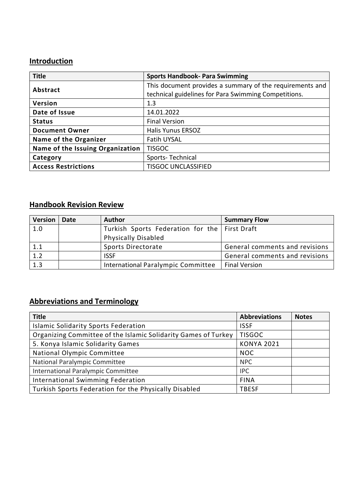# **Introduction**

| <b>Title</b>                     | <b>Sports Handbook- Para Swimming</b>                    |
|----------------------------------|----------------------------------------------------------|
| Abstract                         | This document provides a summary of the requirements and |
|                                  | technical guidelines for Para Swimming Competitions.     |
| Version                          | 1.3                                                      |
| Date of Issue                    | 14.01.2022                                               |
| <b>Status</b>                    | <b>Final Version</b>                                     |
| <b>Document Owner</b>            | <b>Halis Yunus ERSOZ</b>                                 |
| <b>Name of the Organizer</b>     | <b>Fatih UYSAL</b>                                       |
| Name of the Issuing Organization | <b>TISGOC</b>                                            |
| Category                         | Sports-Technical                                         |
| <b>Access Restrictions</b>       | <b>TISGOC UNCLASSIFIED</b>                               |

# **Handbook Revision Review**

| <b>Version</b> | Date | <b>Author</b>                                   | <b>Summary Flow</b>            |
|----------------|------|-------------------------------------------------|--------------------------------|
| 1.0            |      | Turkish Sports Federation for the   First Draft |                                |
|                |      | <b>Physically Disabled</b>                      |                                |
| 1.1            |      | Sports Directorate                              | General comments and revisions |
| 1.2            |      | <b>ISSF</b>                                     | General comments and revisions |
| 1.3            |      | International Paralympic Committee              | <b>Final Version</b>           |

# **Abbreviations and Terminology**

| <b>Title</b>                                                   | <b>Abbreviations</b> | <b>Notes</b> |
|----------------------------------------------------------------|----------------------|--------------|
| <b>Islamic Solidarity Sports Federation</b>                    | <b>ISSF</b>          |              |
| Organizing Committee of the Islamic Solidarity Games of Turkey | <b>TISGOC</b>        |              |
| 5. Konya Islamic Solidarity Games                              | <b>KONYA 2021</b>    |              |
| National Olympic Committee                                     | <b>NOC</b>           |              |
| National Paralympic Committee                                  | <b>NPC</b>           |              |
| International Paralympic Committee                             | <b>IPC</b>           |              |
| International Swimming Federation                              | <b>FINA</b>          |              |
| Turkish Sports Federation for the Physically Disabled          | <b>TBESF</b>         |              |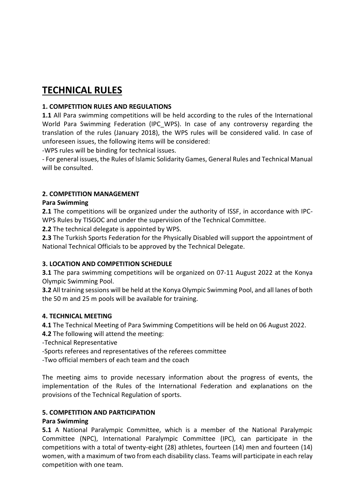# **TECHNICAL RULES**

# **1. COMPETITION RULES AND REGULATIONS**

**1.1** All Para swimming competitions will be held according to the rules of the International World Para Swimming Federation (IPC WPS). In case of any controversy regarding the translation of the rules (January 2018), the WPS rules will be considered valid. In case of unforeseen issues, the following items will be considered:

-WPS rules will be binding for technical issues.

- For general issues, the Rules of Islamic Solidarity Games, General Rules and Technical Manual will be consulted.

# **2. COMPETITION MANAGEMENT**

# **Para Swimming**

**2.1** The competitions will be organized under the authority of ISSF, in accordance with IPC-WPS Rules by TISGOC and under the supervision of the Technical Committee.

**2.2** The technical delegate is appointed by WPS.

**2.3** The Turkish Sports Federation for the Physically Disabled will support the appointment of National Technical Officials to be approved by the Technical Delegate.

# **3. LOCATION AND COMPETITION SCHEDULE**

**3.1** The para swimming competitions will be organized on 07-11 August 2022 at the Konya Olympic Swimming Pool.

**3.2** All training sessions will be held at the Konya Olympic Swimming Pool, and all lanes of both the 50 m and 25 m pools will be available for training.

# **4. TECHNICAL MEETING**

**4.1** The Technical Meeting of Para Swimming Competitions will be held on 06 August 2022.

**4.2** The following will attend the meeting:

-Technical Representative

-Sports referees and representatives of the referees committee

-Two official members of each team and the coach

The meeting aims to provide necessary information about the progress of events, the implementation of the Rules of the International Federation and explanations on the provisions of the Technical Regulation of sports.

# **5. COMPETITION AND PARTICIPATION**

# **Para Swimming**

**5.1** A National Paralympic Committee, which is a member of the National Paralympic Committee (NPC), International Paralympic Committee (IPC), can participate in the competitions with a total of twenty-eight (28) athletes, fourteen (14) men and fourteen (14) women, with a maximum of two from each disability class. Teams will participate in each relay competition with one team.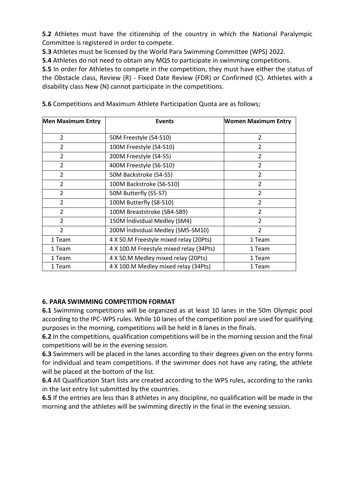**5.2** Athletes must have the citizenship of the country in which the National Paralympic Committee is registered in order to compete.

**5.3** Athletes must be licensed by the World Para Swimming Committee (WPS) 2022.

**5.4** Athletes do not need to obtain any MQS to participate in swimming competitions.

**5.5** In order for Athletes to compete in the competition, they must have either the status of the Obstacle class, Review (R) - Fixed Date Review (FDR) or Confirmed (C). Athletes with a disability class New (N) cannot participate in the competitions.

| <b>Men Maximum Entry</b> | <b>Events</b>                           | <b>Women Maximum Entry</b> |
|--------------------------|-----------------------------------------|----------------------------|
| $\overline{2}$           | 50M Freestyle (S4-S10)                  | $\overline{2}$             |
| $\mathcal{P}$            | 100M Freestyle (S4-S10)                 | $\overline{2}$             |
| $\mathcal{P}$            | 200M Freestyle (S4-S5)                  | $\mathcal{P}$              |
| $\overline{2}$           | 400M Freestyle (S6-S10)                 | $\overline{2}$             |
| $\mathcal{L}$            | 50M Backstroke (S4-S5)                  | $\overline{2}$             |
| $\overline{2}$           | 100M Backstroke (S6-S10)                | $\overline{2}$             |
| $\overline{2}$           | 50M Butterfly (S5-S7)                   | $\overline{2}$             |
| $\mathcal{L}$            | 100M Butterfly (S8-S10)                 | $\overline{2}$             |
| $\mathcal{L}$            | 100M Breaststroke (SB4-SB9)             | $\overline{2}$             |
| $\overline{2}$           | 150M Individual Medley (SM4)            | $\overline{2}$             |
| $\overline{2}$           | 200M Individual Medley (SM5-SM10)       | $\overline{2}$             |
| 1 Team                   | 4 X 50.M Freestyle mixed relay (20Pts)  | 1 Team                     |
| 1 Team                   | 4 X 100.M Freestyle mixed relay (34Pts) | 1 Team                     |
| 1 Team                   | 4 X 50.M Medley mixed relay (20Pts)     | 1 Team                     |
| 1 Team                   | 4 X 100.M Medley mixed relay (34Pts)    | 1 Team                     |

**5.6** Competitions and Maximum Athlete Participation Quota are as follows;

# **6. PARA SWIMMING COMPETITION FORMAT**

**6.1** Swimming competitions will be organized as at least 10 lanes in the 50m Olympic pool according to the IPC-WPS rules. While 10 lanes of the competition pool are used for qualifying purposes in the morning, competitions will be held in 8 lanes in the finals.

**6.2** In the competitions, qualification competitions will be in the morning session and the final competitions will be in the evening session.

**6.3** Swimmers will be placed in the lanes according to their degrees given on the entry forms for individual and team competitions. If the swimmer does not have any rating, the athlete will be placed at the bottom of the list.

**6.4** All Qualification Start lists are created according to the WPS rules, according to the ranks in the last entry list submitted by the countries.

**6.5** If the entries are less than 8 athletes in any discipline, no qualification will be made in the morning and the athletes will be swimming directly in the final in the evening session.